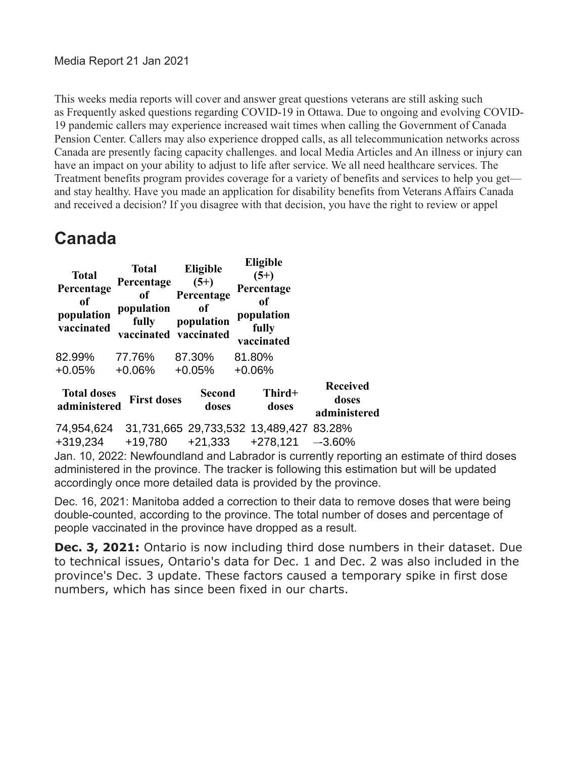This weeks media reports will cover and answer great questions veterans are still asking such as Frequently asked questions regarding COVID-19 in Ottawa. Due to ongoing and evolving COVID-19 pandemic callers may experience increased wait times when calling the Government of Canada Pension Center. Callers may also experience dropped calls, as all telecommunication networks across Canada are presently facing capacity challenges. and local Media Articles and An illness or injury can have an impact on your ability to adjust to life after service. We all need healthcare services. The Treatment benefits program provides coverage for a variety of benefits and services to help you get and stay healthy. Have you made an application for disability benefits from Veterans Affairs Canada and received a decision? If you disagree with that decision, you have the right to review or appel

#### **Canada**

| <b>Total</b><br>Percentage<br><sub>of</sub><br>population<br>vaccinated                                                                                                                                                                                      | <b>Total</b><br>Percentage<br>of<br>population<br>fully | Eligible<br>$(5+)$<br>Percentage<br>0f<br>population<br>vaccinated vaccinated | <b>Eligible</b><br>$(5+)$<br>Percentage<br>0f<br>population<br>fully<br>vaccinated |                                          |  |
|--------------------------------------------------------------------------------------------------------------------------------------------------------------------------------------------------------------------------------------------------------------|---------------------------------------------------------|-------------------------------------------------------------------------------|------------------------------------------------------------------------------------|------------------------------------------|--|
| 82.99%                                                                                                                                                                                                                                                       | 77.76%                                                  | 87.30%                                                                        | 81.80%                                                                             |                                          |  |
| $+0.05%$                                                                                                                                                                                                                                                     | $+0.06\%$                                               | $+0.05%$                                                                      | $+0.06%$                                                                           |                                          |  |
| <b>Total doses</b><br>administered                                                                                                                                                                                                                           | <b>First doses</b>                                      | <b>Second</b><br>doses                                                        | Third+<br>doses                                                                    | <b>Received</b><br>doses<br>administered |  |
|                                                                                                                                                                                                                                                              |                                                         |                                                                               | 74,954,624 31,731,665 29,733,532 13,489,427 83.28%                                 |                                          |  |
| +319,234                                                                                                                                                                                                                                                     | +19,780                                                 | +21,333                                                                       | +278,121                                                                           | $-3.60\%$                                |  |
| Jan. 10, 2022: Newfoundland and Labrador is currently reporting an estimate of third doses<br>administered in the province. The tracker is following this estimation but will be updated<br>accordingly once more detailed data is provided by the province. |                                                         |                                                                               |                                                                                    |                                          |  |

Dec. 16, 2021: Manitoba added a correction to their data to remove doses that were being double-counted, according to the province. The total number of doses and percentage of people vaccinated in the province have dropped as a result.

**Dec. 3, 2021:** Ontario is now including third dose numbers in their dataset. Due to technical issues, Ontario's data for Dec. 1 and Dec. 2 was also included in the province's Dec. 3 update. These factors caused a temporary spike in first dose numbers, which has since been fixed in our charts.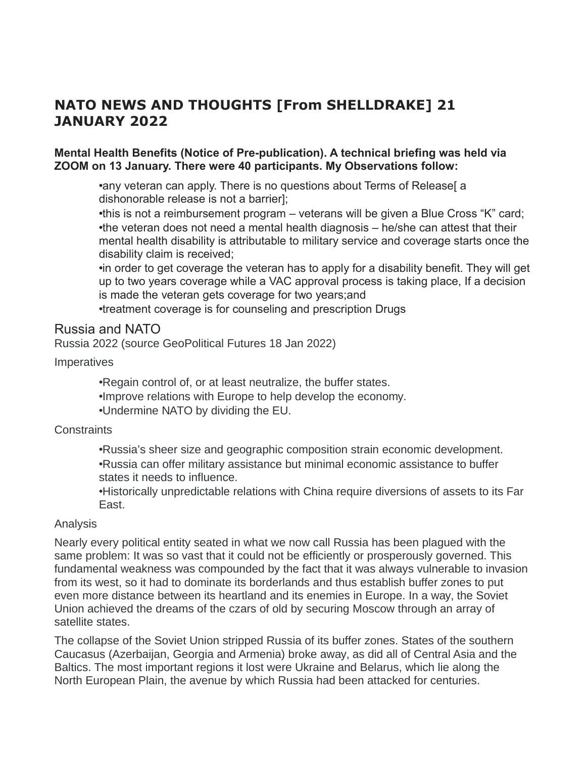#### **NATO NEWS AND THOUGHTS [From SHELLDRAKE] 21 JANUARY 2022**

#### **Mental Health Benefits (Notice of Pre-publication). A technical briefing was held via ZOOM on 13 January. There were 40 participants. My Observations follow:**

•any veteran can apply. There is no questions about Terms of Release [a dishonorable release is not a barrier];

•this is not a reimbursement program – veterans will be given a Blue Cross "K" card; •the veteran does not need a mental health diagnosis – he/she can attest that their mental health disability is attributable to military service and coverage starts once the disability claim is received;

•in order to get coverage the veteran has to apply for a disability benefit. They will get up to two years coverage while a VAC approval process is taking place, If a decision is made the veteran gets coverage for two years;and

•treatment coverage is for counseling and prescription Drugs

#### Russia and NATO

Russia 2022 (source GeoPolitical Futures 18 Jan 2022)

#### Imperatives

•Regain control of, or at least neutralize, the buffer states. •Improve relations with Europe to help develop the economy. •Undermine NATO by dividing the EU.

#### **Constraints**

•Russia's sheer size and geographic composition strain economic development. •Russia can offer military assistance but minimal economic assistance to buffer states it needs to influence.

•Historically unpredictable relations with China require diversions of assets to its Far East.

#### Analysis

Nearly every political entity seated in what we now call Russia has been plagued with the same problem: It was so vast that it could not be efficiently or prosperously governed. This fundamental weakness was compounded by the fact that it was always vulnerable to invasion from its west, so it had to dominate its borderlands and thus establish buffer zones to put even more distance between its heartland and its enemies in Europe. In a way, the Soviet Union achieved the dreams of the czars of old by securing Moscow through an array of satellite states.

The collapse of the Soviet Union stripped Russia of its buffer zones. States of the southern Caucasus (Azerbaijan, Georgia and Armenia) broke away, as did all of Central Asia and the Baltics. The most important regions it lost were Ukraine and Belarus, which lie along the North European Plain, the avenue by which Russia had been attacked for centuries.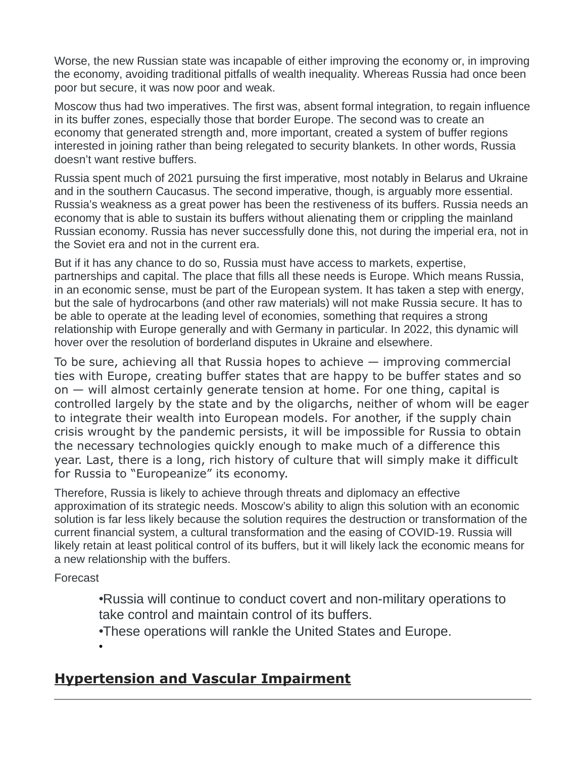Worse, the new Russian state was incapable of either improving the economy or, in improving the economy, avoiding traditional pitfalls of wealth inequality. Whereas Russia had once been poor but secure, it was now poor and weak.

Moscow thus had two imperatives. The first was, absent formal integration, to regain influence in its buffer zones, especially those that border Europe. The second was to create an economy that generated strength and, more important, created a system of buffer regions interested in joining rather than being relegated to security blankets. In other words, Russia doesn't want restive buffers.

Russia spent much of 2021 pursuing the first imperative, most notably in Belarus and Ukraine and in the southern Caucasus. The second imperative, though, is arguably more essential. Russia's weakness as a great power has been the restiveness of its buffers. Russia needs an economy that is able to sustain its buffers without alienating them or crippling the mainland Russian economy. Russia has never successfully done this, not during the imperial era, not in the Soviet era and not in the current era.

But if it has any chance to do so, Russia must have access to markets, expertise, partnerships and capital. The place that fills all these needs is Europe. Which means Russia, in an economic sense, must be part of the European system. It has taken a step with energy, but the sale of hydrocarbons (and other raw materials) will not make Russia secure. It has to be able to operate at the leading level of economies, something that requires a strong relationship with Europe generally and with Germany in particular. In 2022, this dynamic will hover over the resolution of borderland disputes in Ukraine and elsewhere.

To be sure, achieving all that Russia hopes to achieve — improving commercial ties with Europe, creating buffer states that are happy to be buffer states and so on — will almost certainly generate tension at home. For one thing, capital is controlled largely by the state and by the oligarchs, neither of whom will be eager to integrate their wealth into European models. For another, if the supply chain crisis wrought by the pandemic persists, it will be impossible for Russia to obtain the necessary technologies quickly enough to make much of a difference this year. Last, there is a long, rich history of culture that will simply make it difficult for Russia to "Europeanize" its economy.

Therefore, Russia is likely to achieve through threats and diplomacy an effective approximation of its strategic needs. Moscow's ability to align this solution with an economic solution is far less likely because the solution requires the destruction or transformation of the current financial system, a cultural transformation and the easing of COVID-19. Russia will likely retain at least political control of its buffers, but it will likely lack the economic means for a new relationship with the buffers.

Forecast

•

•Russia will continue to conduct covert and non-military operations to take control and maintain control of its buffers.

•These operations will rankle the United States and Europe.

#### **Hypertension and Vascular Impairment**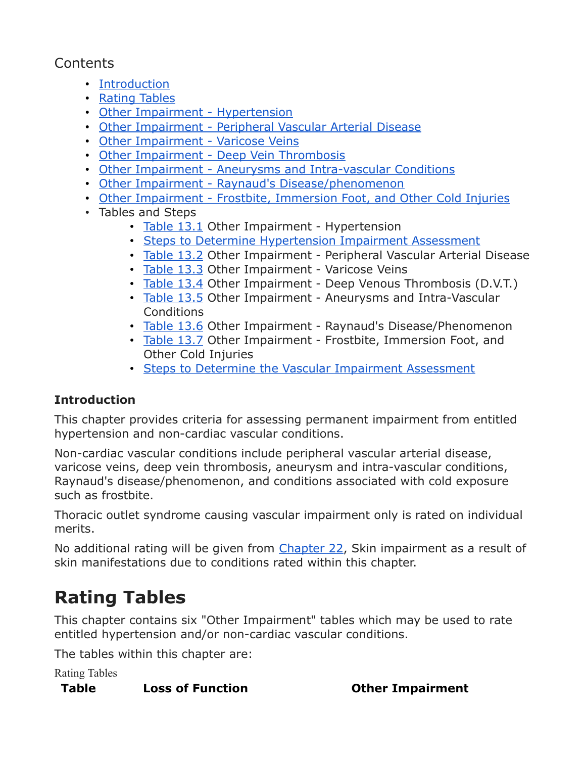#### **Contents**

- [Introduction](https://www.veterans.gc.ca/eng/health-support/physical-health-and-wellness/compensation-illness-injury/disability-benefits/benefits-determined/table-of-disabilities/ch-13-2006#a01)
- [Rating Tables](https://www.veterans.gc.ca/eng/health-support/physical-health-and-wellness/compensation-illness-injury/disability-benefits/benefits-determined/table-of-disabilities/ch-13-2006#a02)
- [Other Impairment Hypertension](https://www.veterans.gc.ca/eng/health-support/physical-health-and-wellness/compensation-illness-injury/disability-benefits/benefits-determined/table-of-disabilities/ch-13-2006#a03)
- [Other Impairment Peripheral Vascular Arterial Disease](https://www.veterans.gc.ca/eng/health-support/physical-health-and-wellness/compensation-illness-injury/disability-benefits/benefits-determined/table-of-disabilities/ch-13-2006#a04)
- [Other Impairment Varicose Veins](https://www.veterans.gc.ca/eng/health-support/physical-health-and-wellness/compensation-illness-injury/disability-benefits/benefits-determined/table-of-disabilities/ch-13-2006#a05)
- [Other Impairment Deep Vein Thrombosis](https://www.veterans.gc.ca/eng/health-support/physical-health-and-wellness/compensation-illness-injury/disability-benefits/benefits-determined/table-of-disabilities/ch-13-2006#a06)
- [Other Impairment Aneurysms and Intra-vascular Conditions](https://www.veterans.gc.ca/eng/health-support/physical-health-and-wellness/compensation-illness-injury/disability-benefits/benefits-determined/table-of-disabilities/ch-13-2006#a07)
- [Other Impairment Raynaud's Disease/phenomenon](https://www.veterans.gc.ca/eng/health-support/physical-health-and-wellness/compensation-illness-injury/disability-benefits/benefits-determined/table-of-disabilities/ch-13-2006#a08)
- [Other Impairment Frostbite, Immersion Foot, and Other Cold Injuries](https://www.veterans.gc.ca/eng/health-support/physical-health-and-wellness/compensation-illness-injury/disability-benefits/benefits-determined/table-of-disabilities/ch-13-2006#a09)
- Tables and Steps
	- [Table 13.1](https://www.veterans.gc.ca/eng/health-support/physical-health-and-wellness/compensation-illness-injury/disability-benefits/benefits-determined/table-of-disabilities/ch-13-2006#t01) Other Impairment Hypertension
	- [Steps to Determine Hypertension Impairment Assessment](https://www.veterans.gc.ca/eng/health-support/physical-health-and-wellness/compensation-illness-injury/disability-benefits/benefits-determined/table-of-disabilities/ch-13-2006#a10)
	- [Table 13.2](https://www.veterans.gc.ca/eng/health-support/physical-health-and-wellness/compensation-illness-injury/disability-benefits/benefits-determined/table-of-disabilities/ch-13-2006#t02) Other Impairment Peripheral Vascular Arterial Disease
	- [Table 13.3](https://www.veterans.gc.ca/eng/health-support/physical-health-and-wellness/compensation-illness-injury/disability-benefits/benefits-determined/table-of-disabilities/ch-13-2006#t03) Other Impairment Varicose Veins
	- [Table 13.4](https://www.veterans.gc.ca/eng/health-support/physical-health-and-wellness/compensation-illness-injury/disability-benefits/benefits-determined/table-of-disabilities/ch-13-2006#t04) Other Impairment Deep Venous Thrombosis (D.V.T.)
	- [Table 13.5](https://www.veterans.gc.ca/eng/health-support/physical-health-and-wellness/compensation-illness-injury/disability-benefits/benefits-determined/table-of-disabilities/ch-13-2006#t05) Other Impairment Aneurysms and Intra-Vascular **Conditions**
	- [Table 13.6](https://www.veterans.gc.ca/eng/health-support/physical-health-and-wellness/compensation-illness-injury/disability-benefits/benefits-determined/table-of-disabilities/ch-13-2006#t06) Other Impairment Raynaud's Disease/Phenomenon
	- [Table 13.7](https://www.veterans.gc.ca/eng/health-support/physical-health-and-wellness/compensation-illness-injury/disability-benefits/benefits-determined/table-of-disabilities/ch-13-2006#t07) Other Impairment Frostbite, Immersion Foot, and Other Cold Injuries
	- [Steps to Determine the Vascular Impairment Assessment](https://www.veterans.gc.ca/eng/health-support/physical-health-and-wellness/compensation-illness-injury/disability-benefits/benefits-determined/table-of-disabilities/ch-13-2006#a12)

#### **Introduction**

This chapter provides criteria for assessing permanent impairment from entitled hypertension and non-cardiac vascular conditions.

Non-cardiac vascular conditions include peripheral vascular arterial disease, varicose veins, deep vein thrombosis, aneurysm and intra-vascular conditions, Raynaud's disease/phenomenon, and conditions associated with cold exposure such as frostbite.

Thoracic outlet syndrome causing vascular impairment only is rated on individual merits.

No additional rating will be given from [Chapter 22,](https://www.veterans.gc.ca/eng/services/after-injury/disability-benefits/benefits-determined/table-of-disabilities/ch-22-2006) Skin impairment as a result of skin manifestations due to conditions rated within this chapter.

# **Rating Tables**

This chapter contains six "Other Impairment" tables which may be used to rate entitled hypertension and/or non-cardiac vascular conditions.

The tables within this chapter are:

Rating Tables

#### **Table Loss of Function Other Impairment**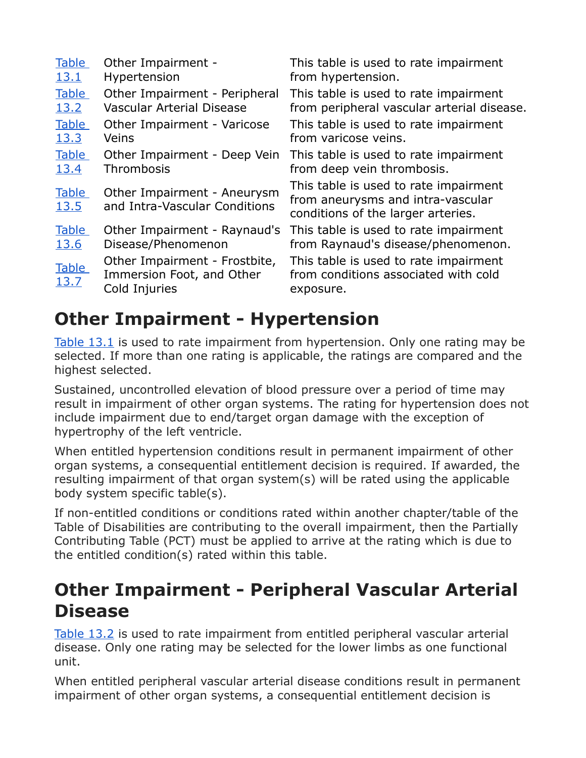| <b>Table</b>                | Other Impairment -                                                          | This table is used to rate impairment                                                                            |
|-----------------------------|-----------------------------------------------------------------------------|------------------------------------------------------------------------------------------------------------------|
| <u>13.1</u>                 | Hypertension                                                                | from hypertension.                                                                                               |
| <b>Table</b>                | Other Impairment - Peripheral                                               | This table is used to rate impairment                                                                            |
| 13.2                        | <b>Vascular Arterial Disease</b>                                            | from peripheral vascular arterial disease.                                                                       |
| <b>Table</b>                | Other Impairment - Varicose                                                 | This table is used to rate impairment                                                                            |
| <u>13.3</u>                 | Veins                                                                       | from varicose veins.                                                                                             |
| <b>Table</b>                | Other Impairment - Deep Vein                                                | This table is used to rate impairment                                                                            |
| 13.4                        | Thrombosis                                                                  | from deep vein thrombosis.                                                                                       |
| <b>Table</b><br><u>13.5</u> | Other Impairment - Aneurysm<br>and Intra-Vascular Conditions                | This table is used to rate impairment<br>from aneurysms and intra-vascular<br>conditions of the larger arteries. |
| <b>Table</b>                | Other Impairment - Raynaud's                                                | This table is used to rate impairment                                                                            |
| <u>13.6</u>                 | Disease/Phenomenon                                                          | from Raynaud's disease/phenomenon.                                                                               |
| <b>Table</b><br><u>13.7</u> | Other Impairment - Frostbite,<br>Immersion Foot, and Other<br>Cold Injuries | This table is used to rate impairment<br>from conditions associated with cold<br>exposure.                       |

## **Other Impairment - Hypertension**

[Table 13.1](https://www.veterans.gc.ca/eng/health-support/physical-health-and-wellness/compensation-illness-injury/disability-benefits/benefits-determined/table-of-disabilities/ch-13-2006#t01) is used to rate impairment from hypertension. Only one rating may be selected. If more than one rating is applicable, the ratings are compared and the highest selected.

Sustained, uncontrolled elevation of blood pressure over a period of time may result in impairment of other organ systems. The rating for hypertension does not include impairment due to end/target organ damage with the exception of hypertrophy of the left ventricle.

When entitled hypertension conditions result in permanent impairment of other organ systems, a consequential entitlement decision is required. If awarded, the resulting impairment of that organ system(s) will be rated using the applicable body system specific table(s).

If non-entitled conditions or conditions rated within another chapter/table of the Table of Disabilities are contributing to the overall impairment, then the Partially Contributing Table (PCT) must be applied to arrive at the rating which is due to the entitled condition(s) rated within this table.

### **Other Impairment - Peripheral Vascular Arterial Disease**

[Table 13.2](https://www.veterans.gc.ca/eng/health-support/physical-health-and-wellness/compensation-illness-injury/disability-benefits/benefits-determined/table-of-disabilities/ch-13-2006#t02) is used to rate impairment from entitled peripheral vascular arterial disease. Only one rating may be selected for the lower limbs as one functional unit.

When entitled peripheral vascular arterial disease conditions result in permanent impairment of other organ systems, a consequential entitlement decision is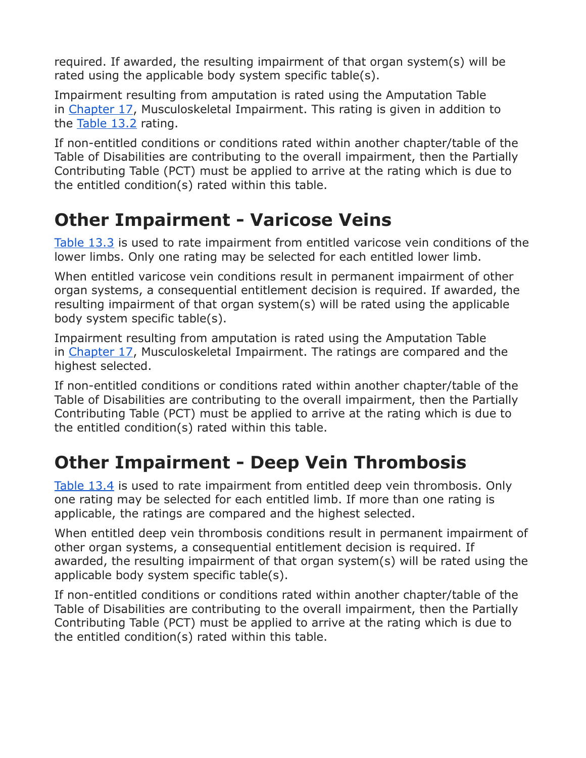required. If awarded, the resulting impairment of that organ system(s) will be rated using the applicable body system specific table(s).

Impairment resulting from amputation is rated using the Amputation Table in [Chapter 17,](https://www.veterans.gc.ca/eng/services/after-injury/disability-benefits/benefits-determined/table-of-disabilities/ch-17-2006) Musculoskeletal Impairment. This rating is given in addition to the [Table 13.2](https://www.veterans.gc.ca/eng/health-support/physical-health-and-wellness/compensation-illness-injury/disability-benefits/benefits-determined/table-of-disabilities/ch-13-2006#t02) rating.

If non-entitled conditions or conditions rated within another chapter/table of the Table of Disabilities are contributing to the overall impairment, then the Partially Contributing Table (PCT) must be applied to arrive at the rating which is due to the entitled condition(s) rated within this table.

## **Other Impairment - Varicose Veins**

[Table 13.3](https://www.veterans.gc.ca/eng/health-support/physical-health-and-wellness/compensation-illness-injury/disability-benefits/benefits-determined/table-of-disabilities/ch-13-2006#t03) is used to rate impairment from entitled varicose vein conditions of the lower limbs. Only one rating may be selected for each entitled lower limb.

When entitled varicose vein conditions result in permanent impairment of other organ systems, a consequential entitlement decision is required. If awarded, the resulting impairment of that organ system(s) will be rated using the applicable body system specific table(s).

Impairment resulting from amputation is rated using the Amputation Table in [Chapter 17,](https://www.veterans.gc.ca/eng/services/after-injury/disability-benefits/benefits-determined/table-of-disabilities/ch-17-2006) Musculoskeletal Impairment. The ratings are compared and the highest selected.

If non-entitled conditions or conditions rated within another chapter/table of the Table of Disabilities are contributing to the overall impairment, then the Partially Contributing Table (PCT) must be applied to arrive at the rating which is due to the entitled condition(s) rated within this table.

# **Other Impairment - Deep Vein Thrombosis**

[Table 13.4](https://www.veterans.gc.ca/eng/health-support/physical-health-and-wellness/compensation-illness-injury/disability-benefits/benefits-determined/table-of-disabilities/ch-13-2006#t04) is used to rate impairment from entitled deep vein thrombosis. Only one rating may be selected for each entitled limb. If more than one rating is applicable, the ratings are compared and the highest selected.

When entitled deep vein thrombosis conditions result in permanent impairment of other organ systems, a consequential entitlement decision is required. If awarded, the resulting impairment of that organ system(s) will be rated using the applicable body system specific table(s).

If non-entitled conditions or conditions rated within another chapter/table of the Table of Disabilities are contributing to the overall impairment, then the Partially Contributing Table (PCT) must be applied to arrive at the rating which is due to the entitled condition(s) rated within this table.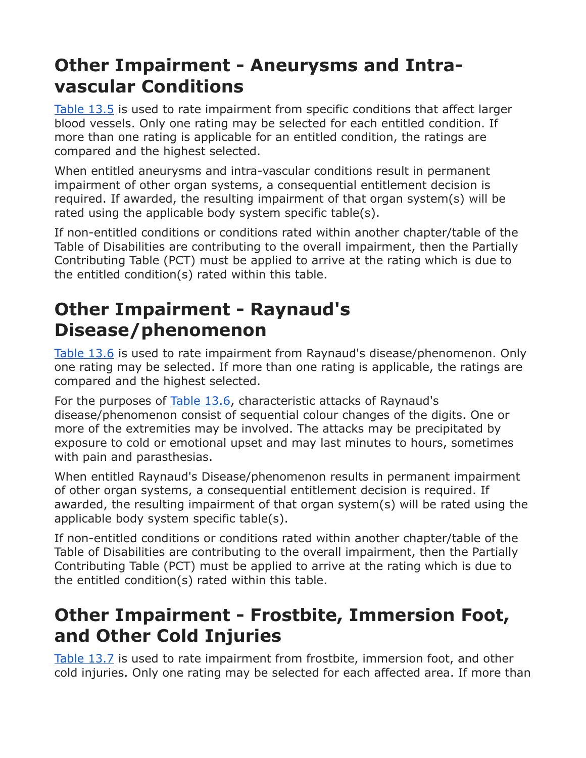## **Other Impairment - Aneurysms and Intravascular Conditions**

[Table 13.5](https://www.veterans.gc.ca/eng/health-support/physical-health-and-wellness/compensation-illness-injury/disability-benefits/benefits-determined/table-of-disabilities/ch-13-2006#t05) is used to rate impairment from specific conditions that affect larger blood vessels. Only one rating may be selected for each entitled condition. If more than one rating is applicable for an entitled condition, the ratings are compared and the highest selected.

When entitled aneurysms and intra-vascular conditions result in permanent impairment of other organ systems, a consequential entitlement decision is required. If awarded, the resulting impairment of that organ system(s) will be rated using the applicable body system specific table(s).

If non-entitled conditions or conditions rated within another chapter/table of the Table of Disabilities are contributing to the overall impairment, then the Partially Contributing Table (PCT) must be applied to arrive at the rating which is due to the entitled condition(s) rated within this table.

## **Other Impairment - Raynaud's Disease/phenomenon**

[Table 13.6](https://www.veterans.gc.ca/eng/health-support/physical-health-and-wellness/compensation-illness-injury/disability-benefits/benefits-determined/table-of-disabilities/ch-13-2006#t06) is used to rate impairment from Raynaud's disease/phenomenon. Only one rating may be selected. If more than one rating is applicable, the ratings are compared and the highest selected.

For the purposes of [Table 13.6,](https://www.veterans.gc.ca/eng/health-support/physical-health-and-wellness/compensation-illness-injury/disability-benefits/benefits-determined/table-of-disabilities/ch-13-2006#t06) characteristic attacks of Raynaud's disease/phenomenon consist of sequential colour changes of the digits. One or more of the extremities may be involved. The attacks may be precipitated by exposure to cold or emotional upset and may last minutes to hours, sometimes with pain and parasthesias.

When entitled Raynaud's Disease/phenomenon results in permanent impairment of other organ systems, a consequential entitlement decision is required. If awarded, the resulting impairment of that organ system(s) will be rated using the applicable body system specific table(s).

If non-entitled conditions or conditions rated within another chapter/table of the Table of Disabilities are contributing to the overall impairment, then the Partially Contributing Table (PCT) must be applied to arrive at the rating which is due to the entitled condition(s) rated within this table.

## **Other Impairment - Frostbite, Immersion Foot, and Other Cold Injuries**

[Table 13.7](https://www.veterans.gc.ca/eng/health-support/physical-health-and-wellness/compensation-illness-injury/disability-benefits/benefits-determined/table-of-disabilities/ch-13-2006#t07) is used to rate impairment from frostbite, immersion foot, and other cold injuries. Only one rating may be selected for each affected area. If more than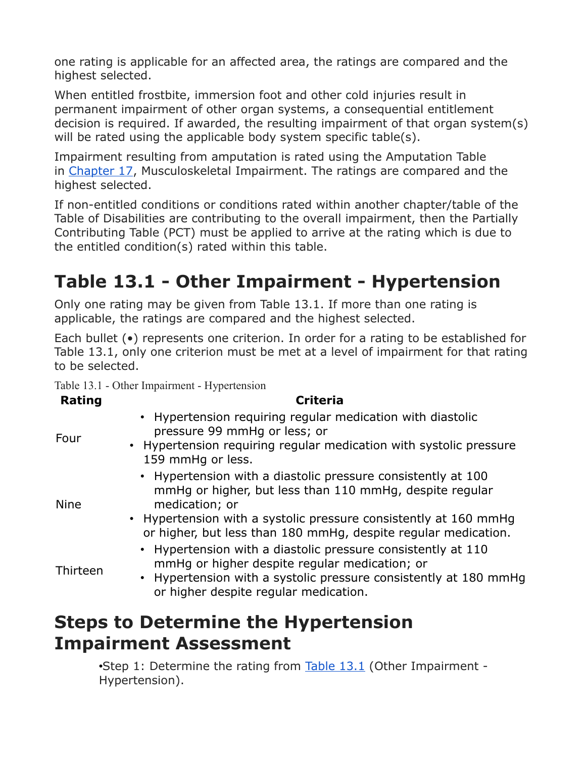one rating is applicable for an affected area, the ratings are compared and the highest selected.

When entitled frostbite, immersion foot and other cold injuries result in permanent impairment of other organ systems, a consequential entitlement decision is required. If awarded, the resulting impairment of that organ system(s) will be rated using the applicable body system specific table(s).

Impairment resulting from amputation is rated using the Amputation Table in [Chapter 17,](https://www.veterans.gc.ca/eng/services/after-injury/disability-benefits/benefits-determined/table-of-disabilities/ch-17-2006) Musculoskeletal Impairment. The ratings are compared and the highest selected.

If non-entitled conditions or conditions rated within another chapter/table of the Table of Disabilities are contributing to the overall impairment, then the Partially Contributing Table (PCT) must be applied to arrive at the rating which is due to the entitled condition(s) rated within this table.

# **Table 13.1 - Other Impairment - Hypertension**

Only one rating may be given from Table 13.1. If more than one rating is applicable, the ratings are compared and the highest selected.

Each bullet (•) represents one criterion. In order for a rating to be established for Table 13.1, only one criterion must be met at a level of impairment for that rating to be selected.

Table 13.1 - Other Impairment - Hypertension

| <b>Rating</b> | <b>Criteria</b>                                                                                                                                                                                                                                                                              |
|---------------|----------------------------------------------------------------------------------------------------------------------------------------------------------------------------------------------------------------------------------------------------------------------------------------------|
| Four          | • Hypertension requiring regular medication with diastolic<br>pressure 99 mmHq or less; or<br>• Hypertension requiring regular medication with systolic pressure<br>159 mmHq or less.                                                                                                        |
| <b>Nine</b>   | • Hypertension with a diastolic pressure consistently at 100<br>mmHg or higher, but less than 110 mmHg, despite regular<br>medication; or<br>• Hypertension with a systolic pressure consistently at 160 mmHg                                                                                |
| Thirteen      | or higher, but less than 180 mmHg, despite regular medication.<br>• Hypertension with a diastolic pressure consistently at 110<br>mmHq or higher despite regular medication; or<br>• Hypertension with a systolic pressure consistently at 180 mmHq<br>or higher despite regular medication. |
|               | .                                                                                                                                                                                                                                                                                            |

### **Steps to Determine the Hypertension Impairment Assessment**

•Step 1: Determine the rating from [Table 13.1](https://www.veterans.gc.ca/eng/health-support/physical-health-and-wellness/compensation-illness-injury/disability-benefits/benefits-determined/table-of-disabilities/ch-13-2006#t01) (Other Impairment - Hypertension).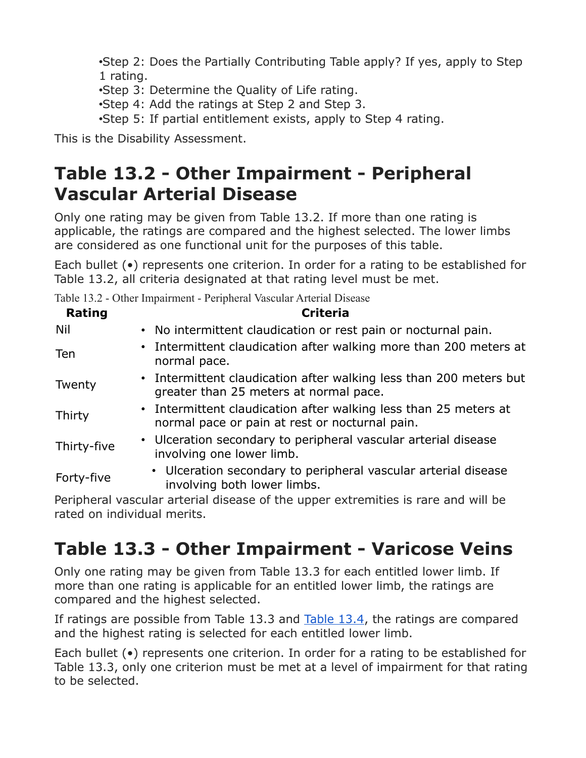•Step 2: Does the Partially Contributing Table apply? If yes, apply to Step 1 rating.

•Step 3: Determine the Quality of Life rating.

•Step 4: Add the ratings at Step 2 and Step 3.

•Step 5: If partial entitlement exists, apply to Step 4 rating.

This is the Disability Assessment.

## **Table 13.2 - Other Impairment - Peripheral Vascular Arterial Disease**

Only one rating may be given from Table 13.2. If more than one rating is applicable, the ratings are compared and the highest selected. The lower limbs are considered as one functional unit for the purposes of this table.

Each bullet (•) represents one criterion. In order for a rating to be established for Table 13.2, all criteria designated at that rating level must be met.

Table 13.2 - Other Impairment - Peripheral Vascular Arterial Disease

| Rating      | <b>Criteria</b>                                                                                                    |
|-------------|--------------------------------------------------------------------------------------------------------------------|
| Nil         | • No intermittent claudication or rest pain or nocturnal pain.                                                     |
| Ten         | • Intermittent claudication after walking more than 200 meters at<br>normal pace.                                  |
| Twenty      | • Intermittent claudication after walking less than 200 meters but<br>greater than 25 meters at normal pace.       |
| Thirty      | • Intermittent claudication after walking less than 25 meters at<br>normal pace or pain at rest or nocturnal pain. |
| Thirty-five | • Ulceration secondary to peripheral vascular arterial disease<br>involving one lower limb.                        |
| Forty-five  | • Ulceration secondary to peripheral vascular arterial disease<br>involving both lower limbs.                      |
|             |                                                                                                                    |

Peripheral vascular arterial disease of the upper extremities is rare and will be rated on individual merits.

## **Table 13.3 - Other Impairment - Varicose Veins**

Only one rating may be given from Table 13.3 for each entitled lower limb. If more than one rating is applicable for an entitled lower limb, the ratings are compared and the highest selected.

If ratings are possible from Table 13.3 and [Table 13.4,](https://www.veterans.gc.ca/eng/health-support/physical-health-and-wellness/compensation-illness-injury/disability-benefits/benefits-determined/table-of-disabilities/ch-13-2006#t04) the ratings are compared and the highest rating is selected for each entitled lower limb.

Each bullet (•) represents one criterion. In order for a rating to be established for Table 13.3, only one criterion must be met at a level of impairment for that rating to be selected.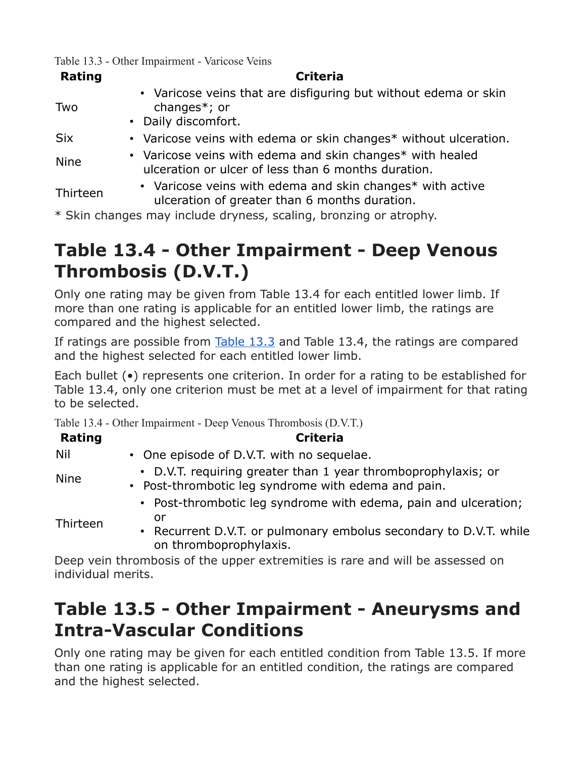Table 13.3 - Other Impairment - Varicose Veins

| <b>Rating</b> | <b>Criteria</b>                                                                                                  |
|---------------|------------------------------------------------------------------------------------------------------------------|
| Two           | • Varicose veins that are disfiguring but without edema or skin<br>changes $*$ ; or                              |
|               | • Daily discomfort.                                                                                              |
| <b>Six</b>    | • Varicose veins with edema or skin changes* without ulceration.                                                 |
| <b>Nine</b>   | • Varicose veins with edema and skin changes* with healed<br>ulceration or ulcer of less than 6 months duration. |
| Thirteen      | • Varicose veins with edema and skin changes* with active<br>ulceration of greater than 6 months duration.       |
|               | $*$ Clin changes may include drynass, scaling, bronzing or atrophy                                               |

Skin changes may include dryness, scaling, bronzing or atrophy.

## **Table 13.4 - Other Impairment - Deep Venous Thrombosis (D.V.T.)**

Only one rating may be given from Table 13.4 for each entitled lower limb. If more than one rating is applicable for an entitled lower limb, the ratings are compared and the highest selected.

If ratings are possible from [Table 13.3](https://www.veterans.gc.ca/eng/health-support/physical-health-and-wellness/compensation-illness-injury/disability-benefits/benefits-determined/table-of-disabilities/ch-13-2006#t03) and Table 13.4, the ratings are compared and the highest selected for each entitled lower limb.

Each bullet (•) represents one criterion. In order for a rating to be established for Table 13.4, only one criterion must be met at a level of impairment for that rating to be selected.

Table 13.4 - Other Impairment - Deep Venous Thrombosis (D.V.T.)

| Rating      | <b>Criteria</b>                                                                                                                                                      |
|-------------|----------------------------------------------------------------------------------------------------------------------------------------------------------------------|
| Nil         | • One episode of D.V.T. with no sequelae.                                                                                                                            |
| <b>Nine</b> | • D.V.T. requiring greater than 1 year thromboprophylaxis; or<br>• Post-thrombotic leg syndrome with edema and pain.                                                 |
| Thirteen    | • Post-thrombotic leg syndrome with edema, pain and ulceration;<br>or<br>• Recurrent D.V.T. or pulmonary embolus secondary to D.V.T. while<br>on thromboprophylaxis. |

Deep vein thrombosis of the upper extremities is rare and will be assessed on individual merits.

## **Table 13.5 - Other Impairment - Aneurysms and Intra-Vascular Conditions**

Only one rating may be given for each entitled condition from Table 13.5. If more than one rating is applicable for an entitled condition, the ratings are compared and the highest selected.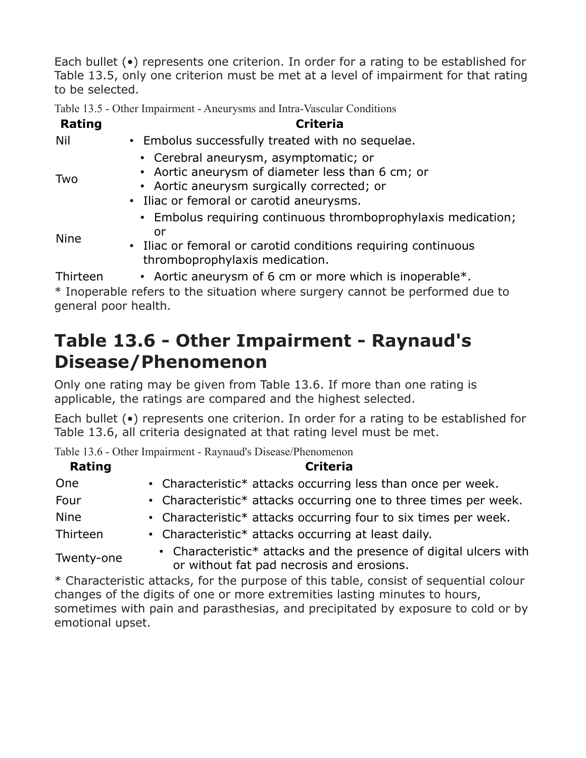Each bullet (•) represents one criterion. In order for a rating to be established for Table 13.5, only one criterion must be met at a level of impairment for that rating to be selected.

Table 13.5 - Other Impairment - Aneurysms and Intra-Vascular Conditions

| <b>Rating</b> | <b>Criteria</b>                                                                                                                                                                     |
|---------------|-------------------------------------------------------------------------------------------------------------------------------------------------------------------------------------|
| Nil           | • Embolus successfully treated with no sequelae.                                                                                                                                    |
| Two           | • Cerebral aneurysm, asymptomatic; or<br>• Aortic aneurysm of diameter less than 6 cm; or<br>• Aortic aneurysm surgically corrected; or<br>• Iliac or femoral or carotid aneurysms. |
| <b>Nine</b>   | • Embolus requiring continuous thromboprophylaxis medication;<br>or<br>• Iliac or femoral or carotid conditions requiring continuous<br>thromboprophylaxis medication.              |
| Thirteen      | • Aortic aneurysm of 6 cm or more which is inoperable $*$ .                                                                                                                         |
|               | $*$ Inonorable refers to the situation where surgery cannot be performed due to                                                                                                     |

Inoperable refers to the situation where surgery cannot be performed due to general poor health.

## **Table 13.6 - Other Impairment - Raynaud's Disease/Phenomenon**

Only one rating may be given from Table 13.6. If more than one rating is applicable, the ratings are compared and the highest selected.

Each bullet (•) represents one criterion. In order for a rating to be established for Table 13.6, all criteria designated at that rating level must be met.

Table 13.6 - Other Impairment - Raynaud's Disease/Phenomenon

| Rating      | <b>Criteria</b>                                                                                                |  |  |  |
|-------------|----------------------------------------------------------------------------------------------------------------|--|--|--|
| One         | • Characteristic* attacks occurring less than once per week.                                                   |  |  |  |
| Four        | • Characteristic* attacks occurring one to three times per week.                                               |  |  |  |
| <b>Nine</b> | • Characteristic* attacks occurring four to six times per week.                                                |  |  |  |
| Thirteen    | • Characteristic* attacks occurring at least daily.                                                            |  |  |  |
| Twenty-one  | • Characteristic* attacks and the presence of digital ulcers with<br>or without fat pad necrosis and erosions. |  |  |  |

\* Characteristic attacks, for the purpose of this table, consist of sequential colour changes of the digits of one or more extremities lasting minutes to hours, sometimes with pain and parasthesias, and precipitated by exposure to cold or by emotional upset.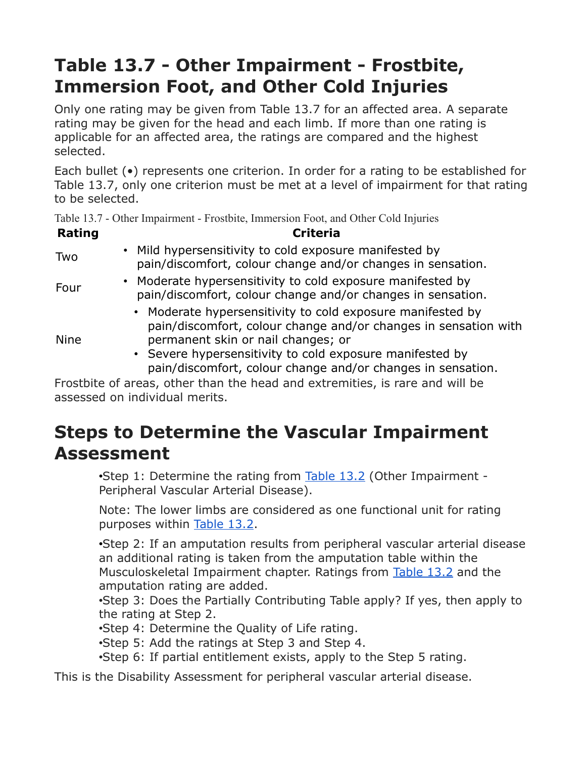# **Table 13.7 - Other Impairment - Frostbite, Immersion Foot, and Other Cold Injuries**

Only one rating may be given from Table 13.7 for an affected area. A separate rating may be given for the head and each limb. If more than one rating is applicable for an affected area, the ratings are compared and the highest selected.

Each bullet (•) represents one criterion. In order for a rating to be established for Table 13.7, only one criterion must be met at a level of impairment for that rating to be selected.

Table 13.7 - Other Impairment - Frostbite, Immersion Foot, and Other Cold Injuries

| <b>Rating</b> | <b>Criteria</b>                                                                                                                                                                                                                                                                                |
|---------------|------------------------------------------------------------------------------------------------------------------------------------------------------------------------------------------------------------------------------------------------------------------------------------------------|
| Two           | • Mild hypersensitivity to cold exposure manifested by<br>pain/discomfort, colour change and/or changes in sensation.                                                                                                                                                                          |
| Four          | • Moderate hypersensitivity to cold exposure manifested by<br>pain/discomfort, colour change and/or changes in sensation.                                                                                                                                                                      |
| <b>Nine</b>   | • Moderate hypersensitivity to cold exposure manifested by<br>pain/discomfort, colour change and/or changes in sensation with<br>permanent skin or nail changes; or<br>• Severe hypersensitivity to cold exposure manifested by<br>pain/discomfort, colour change and/or changes in sensation. |

Frostbite of areas, other than the head and extremities, is rare and will be assessed on individual merits.

## **Steps to Determine the Vascular Impairment Assessment**

•Step 1: Determine the rating from [Table 13.2](https://www.veterans.gc.ca/eng/health-support/physical-health-and-wellness/compensation-illness-injury/disability-benefits/benefits-determined/table-of-disabilities/ch-13-2006#t02) (Other Impairment - Peripheral Vascular Arterial Disease).

Note: The lower limbs are considered as one functional unit for rating purposes within [Table 13.2.](https://www.veterans.gc.ca/eng/health-support/physical-health-and-wellness/compensation-illness-injury/disability-benefits/benefits-determined/table-of-disabilities/ch-13-2006#t02)

•Step 2: If an amputation results from peripheral vascular arterial disease an additional rating is taken from the amputation table within the Musculoskeletal Impairment chapter. Ratings from [Table 13.2](https://www.veterans.gc.ca/eng/health-support/physical-health-and-wellness/compensation-illness-injury/disability-benefits/benefits-determined/table-of-disabilities/ch-13-2006#t02) and the amputation rating are added.

•Step 3: Does the Partially Contributing Table apply? If yes, then apply to the rating at Step 2.

•Step 4: Determine the Quality of Life rating.

•Step 5: Add the ratings at Step 3 and Step 4.

•Step 6: If partial entitlement exists, apply to the Step 5 rating.

This is the Disability Assessment for peripheral vascular arterial disease.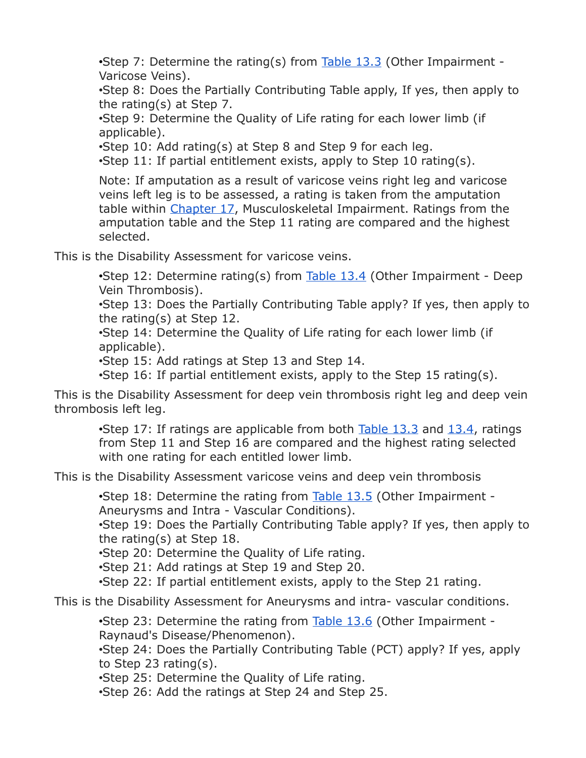•Step 7: Determine the rating(s) from  $Table 13.3$  (Other Impairment -Varicose Veins).

•Step 8: Does the Partially Contributing Table apply, If yes, then apply to the rating(s) at Step 7.

•Step 9: Determine the Quality of Life rating for each lower limb (if applicable).

•Step 10: Add rating(s) at Step 8 and Step 9 for each leg.

•Step 11: If partial entitlement exists, apply to Step 10 rating(s).

Note: If amputation as a result of varicose veins right leg and varicose veins left leg is to be assessed, a rating is taken from the amputation table within [Chapter 17,](https://www.veterans.gc.ca/eng/services/after-injury/disability-benefits/benefits-determined/table-of-disabilities/ch-17-2006) Musculoskeletal Impairment. Ratings from the amputation table and the Step 11 rating are compared and the highest selected.

This is the Disability Assessment for varicose veins.

•Step 12: Determine rating(s) from  $Table 13.4$  (Other Impairment - Deep Vein Thrombosis).

•Step 13: Does the Partially Contributing Table apply? If yes, then apply to the rating(s) at Step 12.

•Step 14: Determine the Quality of Life rating for each lower limb (if applicable).

•Step 15: Add ratings at Step 13 and Step 14.

•Step 16: If partial entitlement exists, apply to the Step 15 rating(s).

This is the Disability Assessment for deep vein thrombosis right leg and deep vein thrombosis left leg.

•Step 17: If ratings are applicable from both [Table 13.3](https://www.veterans.gc.ca/eng/health-support/physical-health-and-wellness/compensation-illness-injury/disability-benefits/benefits-determined/table-of-disabilities/ch-13-2006#t03) and [13.4,](https://www.veterans.gc.ca/eng/health-support/physical-health-and-wellness/compensation-illness-injury/disability-benefits/benefits-determined/table-of-disabilities/ch-13-2006#t04) ratings from Step 11 and Step 16 are compared and the highest rating selected with one rating for each entitled lower limb.

This is the Disability Assessment varicose veins and deep vein thrombosis

• Step 18: Determine the rating from [Table 13.5](https://www.veterans.gc.ca/eng/health-support/physical-health-and-wellness/compensation-illness-injury/disability-benefits/benefits-determined/table-of-disabilities/ch-13-2006#t05) (Other Impairment -Aneurysms and Intra - Vascular Conditions).

•Step 19: Does the Partially Contributing Table apply? If yes, then apply to the rating(s) at Step 18.

•Step 20: Determine the Quality of Life rating.

•Step 21: Add ratings at Step 19 and Step 20.

•Step 22: If partial entitlement exists, apply to the Step 21 rating.

This is the Disability Assessment for Aneurysms and intra- vascular conditions.

•Step 23: Determine the rating from [Table 13.6](https://www.veterans.gc.ca/eng/health-support/physical-health-and-wellness/compensation-illness-injury/disability-benefits/benefits-determined/table-of-disabilities/ch-13-2006#t06) (Other Impairment - Raynaud's Disease/Phenomenon).

•Step 24: Does the Partially Contributing Table (PCT) apply? If yes, apply to Step 23 rating(s).

•Step 25: Determine the Quality of Life rating.

•Step 26: Add the ratings at Step 24 and Step 25.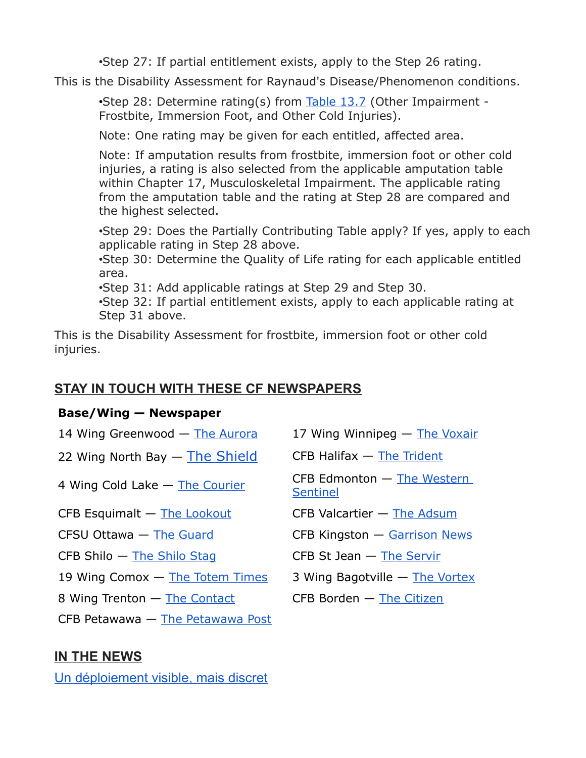•Step 27: If partial entitlement exists, apply to the Step 26 rating.

This is the Disability Assessment for Raynaud's Disease/Phenomenon conditions.

•Step 28: Determine rating(s) from [Table 13.7](https://www.veterans.gc.ca/eng/health-support/physical-health-and-wellness/compensation-illness-injury/disability-benefits/benefits-determined/table-of-disabilities/ch-13-2006#t07) (Other Impairment - Frostbite, Immersion Foot, and Other Cold Injuries).

Note: One rating may be given for each entitled, affected area.

Note: If amputation results from frostbite, immersion foot or other cold injuries, a rating is also selected from the applicable amputation table within Chapter 17, Musculoskeletal Impairment. The applicable rating from the amputation table and the rating at Step 28 are compared and the highest selected.

•Step 29: Does the Partially Contributing Table apply? If yes, apply to each applicable rating in Step 28 above.

•Step 30: Determine the Quality of Life rating for each applicable entitled area.

•Step 31: Add applicable ratings at Step 29 and Step 30.

•Step 32: If partial entitlement exists, apply to each applicable rating at Step 31 above.

This is the Disability Assessment for frostbite, immersion foot or other cold injuries.

#### **STAY IN TOUCH WITH THESE CF NEWSPAPERS**

#### **Base/Wing — Newspaper**

| 14 Wing Greenwood — The Aurora   | 17 Wing Winnipeg - The Voxair                     |
|----------------------------------|---------------------------------------------------|
| 22 Wing North Bay - The Shield   | $CFB$ Halifax $-$ The Trident                     |
| 4 Wing Cold Lake - The Courier   | $CFB$ Edmonton $-$ The Western<br><b>Sentinel</b> |
| CFB Esquimalt - The Lookout      | CFB Valcartier - The Adsum                        |
| CFSU Ottawa - The Guard          | CFB Kingston - Garrison News                      |
| $CFB Shilo$ – The Shilo Staq     | $CFB$ St Jean $-$ The Servir                      |
| 19 Wing Comox - The Totem Times  | 3 Wing Bagotville - The Vortex                    |
| 8 Wing Trenton - The Contact     | $CFB$ Borden $-$ The Citizen                      |
| CFB Petawawa - The Petawawa Post |                                                   |

#### **IN THE NEWS**

[Un déploiement visible, mais discret](http://sm1.multiview.com/t/gcH1AAgbaBPWL4EjQK-J6CRQiWaaCCyFQRUoaaaaCCyBQ3DC-7aa?n=7_w7xC~amp;X=zYjVxUtmlckfj~25y6Vkfr.hkn~amp;r=5z~amp;r=)